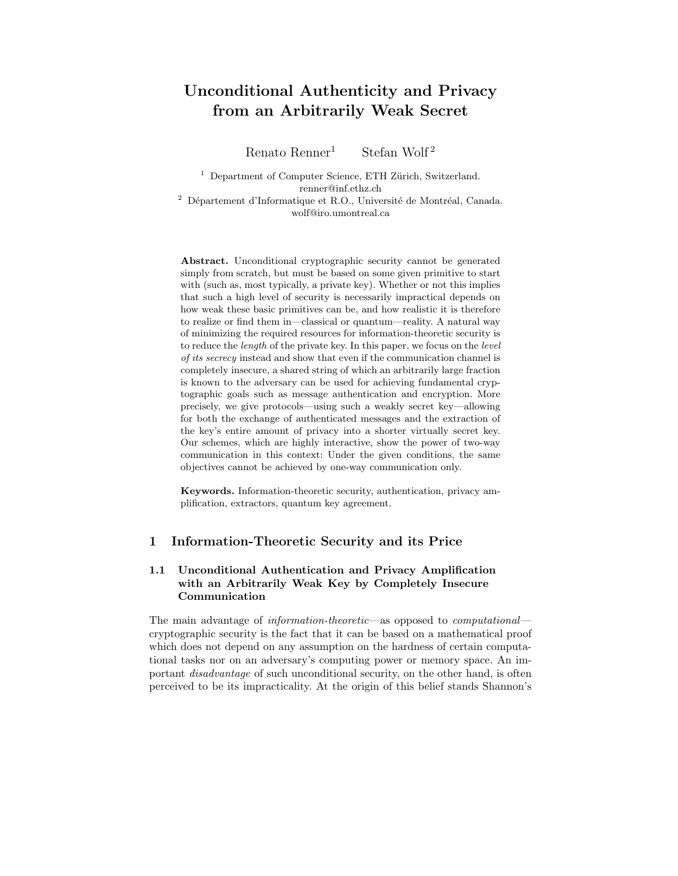# Unconditional Authenticity and Privacy from an Arbitrarily Weak Secret

Renato Renner<sup>1</sup> Stefan Wolf<sup>2</sup>

 $1$  Department of Computer Science, ETH Zürich, Switzerland. renner@inf.ethz.ch

 $^2$  Département d'Informatique et R.O., Université de Montréal, Canada. wolf@iro.umontreal.ca

Abstract. Unconditional cryptographic security cannot be generated simply from scratch, but must be based on some given primitive to start with (such as, most typically, a private key). Whether or not this implies that such a high level of security is necessarily impractical depends on how weak these basic primitives can be, and how realistic it is therefore to realize or find them in—classical or quantum—reality. A natural way of minimizing the required resources for information-theoretic security is to reduce the length of the private key. In this paper, we focus on the level of its secrecy instead and show that even if the communication channel is completely insecure, a shared string of which an arbitrarily large fraction is known to the adversary can be used for achieving fundamental cryptographic goals such as message authentication and encryption. More precisely, we give protocols—using such a weakly secret key—allowing for both the exchange of authenticated messages and the extraction of the key's entire amount of privacy into a shorter virtually secret key. Our schemes, which are highly interactive, show the power of two-way communication in this context: Under the given conditions, the same objectives cannot be achieved by one-way communication only.

Keywords. Information-theoretic security, authentication, privacy amplification, extractors, quantum key agreement.

# 1 Information-Theoretic Security and its Price

## 1.1 Unconditional Authentication and Privacy Amplification with an Arbitrarily Weak Key by Completely Insecure Communication

The main advantage of information-theoretic—as opposed to computational cryptographic security is the fact that it can be based on a mathematical proof which does not depend on any assumption on the hardness of certain computational tasks nor on an adversary's computing power or memory space. An important disadvantage of such unconditional security, on the other hand, is often perceived to be its impracticality. At the origin of this belief stands Shannon's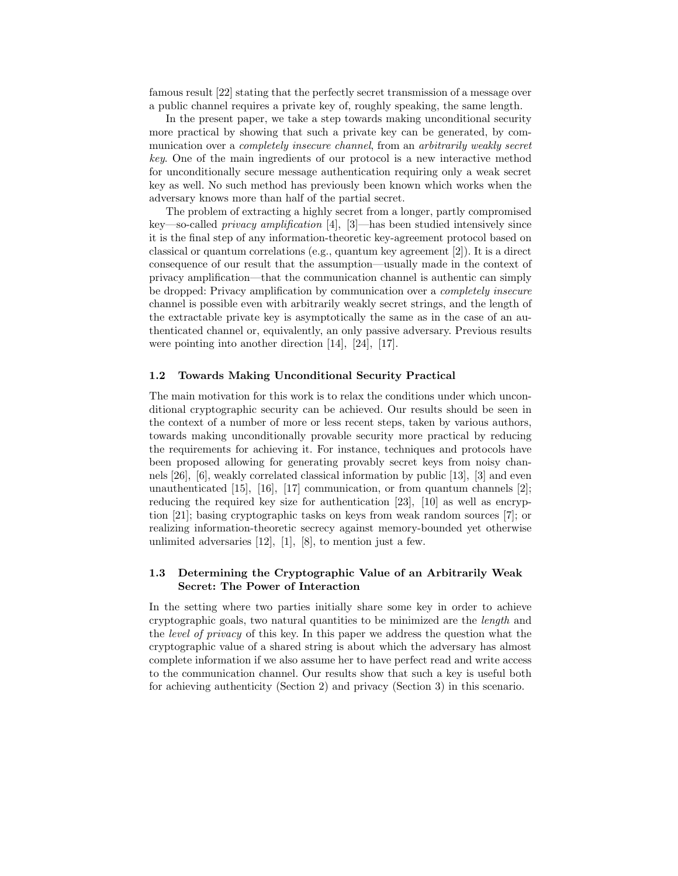famous result [22] stating that the perfectly secret transmission of a message over a public channel requires a private key of, roughly speaking, the same length.

In the present paper, we take a step towards making unconditional security more practical by showing that such a private key can be generated, by communication over a *completely insecure channel*, from an *arbitrarily weakly secret* key. One of the main ingredients of our protocol is a new interactive method for unconditionally secure message authentication requiring only a weak secret key as well. No such method has previously been known which works when the adversary knows more than half of the partial secret.

The problem of extracting a highly secret from a longer, partly compromised key—so-called privacy amplification [4], [3]—has been studied intensively since it is the final step of any information-theoretic key-agreement protocol based on classical or quantum correlations (e.g., quantum key agreement [2]). It is a direct consequence of our result that the assumption—usually made in the context of privacy amplification—that the communication channel is authentic can simply be dropped: Privacy amplification by communication over a completely insecure channel is possible even with arbitrarily weakly secret strings, and the length of the extractable private key is asymptotically the same as in the case of an authenticated channel or, equivalently, an only passive adversary. Previous results were pointing into another direction [14], [24], [17].

#### 1.2 Towards Making Unconditional Security Practical

The main motivation for this work is to relax the conditions under which unconditional cryptographic security can be achieved. Our results should be seen in the context of a number of more or less recent steps, taken by various authors, towards making unconditionally provable security more practical by reducing the requirements for achieving it. For instance, techniques and protocols have been proposed allowing for generating provably secret keys from noisy channels [26], [6], weakly correlated classical information by public [13], [3] and even unauthenticated [15], [16], [17] communication, or from quantum channels [2]; reducing the required key size for authentication [23], [10] as well as encryption [21]; basing cryptographic tasks on keys from weak random sources [7]; or realizing information-theoretic secrecy against memory-bounded yet otherwise unlimited adversaries [12], [1], [8], to mention just a few.

## 1.3 Determining the Cryptographic Value of an Arbitrarily Weak Secret: The Power of Interaction

In the setting where two parties initially share some key in order to achieve cryptographic goals, two natural quantities to be minimized are the length and the level of privacy of this key. In this paper we address the question what the cryptographic value of a shared string is about which the adversary has almost complete information if we also assume her to have perfect read and write access to the communication channel. Our results show that such a key is useful both for achieving authenticity (Section 2) and privacy (Section 3) in this scenario.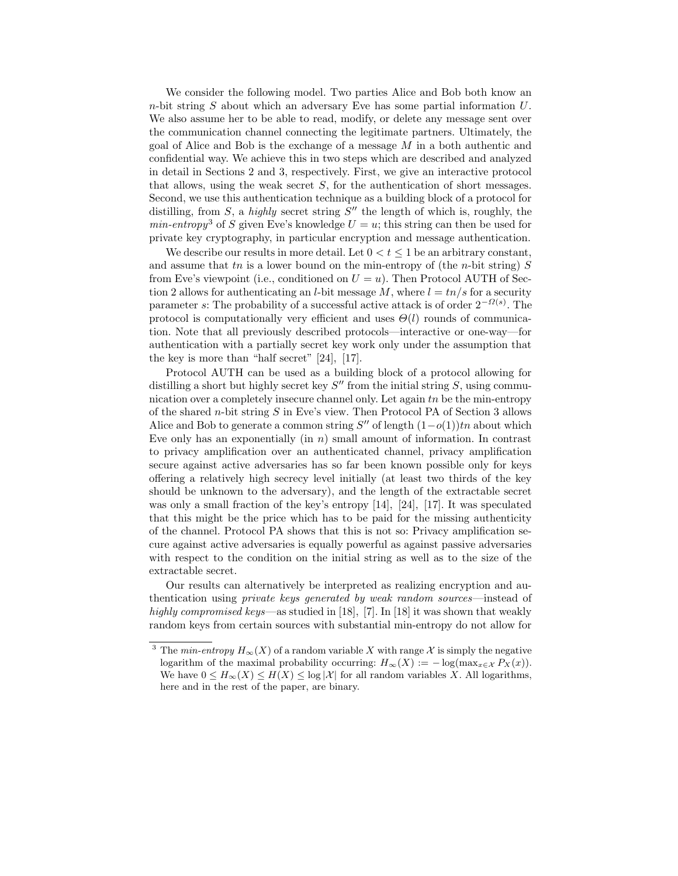We consider the following model. Two parties Alice and Bob both know an  $n$ -bit string  $S$  about which an adversary Eve has some partial information  $U$ . We also assume her to be able to read, modify, or delete any message sent over the communication channel connecting the legitimate partners. Ultimately, the goal of Alice and Bob is the exchange of a message  $M$  in a both authentic and confidential way. We achieve this in two steps which are described and analyzed in detail in Sections 2 and 3, respectively. First, we give an interactive protocol that allows, using the weak secret  $S$ , for the authentication of short messages. Second, we use this authentication technique as a building block of a protocol for distilling, from S, a *highly* secret string  $S''$  the length of which is, roughly, the min-entropy<sup>3</sup> of S given Eve's knowledge  $U = u$ ; this string can then be used for private key cryptography, in particular encryption and message authentication.

We describe our results in more detail. Let  $0 < t \leq 1$  be an arbitrary constant, and assume that tn is a lower bound on the min-entropy of (the n-bit string)  $S$ from Eve's viewpoint (i.e., conditioned on  $U = u$ ). Then Protocol AUTH of Section 2 allows for authenticating an *l*-bit message M, where  $l = tn/s$  for a security parameter s: The probability of a successful active attack is of order  $2^{-\Omega(s)}$ . The protocol is computationally very efficient and uses  $\Theta(l)$  rounds of communication. Note that all previously described protocols—interactive or one-way—for authentication with a partially secret key work only under the assumption that the key is more than "half secret" [24], [17].

Protocol AUTH can be used as a building block of a protocol allowing for distilling a short but highly secret key  $S''$  from the initial string  $S$ , using communication over a completely insecure channel only. Let again  $tn$  be the min-entropy of the shared n-bit string S in Eve's view. Then Protocol PA of Section 3 allows Alice and Bob to generate a common string  $S''$  of length  $(1-o(1))tn$  about which Eve only has an exponentially  $(in n)$  small amount of information. In contrast to privacy amplification over an authenticated channel, privacy amplification secure against active adversaries has so far been known possible only for keys offering a relatively high secrecy level initially (at least two thirds of the key should be unknown to the adversary), and the length of the extractable secret was only a small fraction of the key's entropy [14], [24], [17]. It was speculated that this might be the price which has to be paid for the missing authenticity of the channel. Protocol PA shows that this is not so: Privacy amplification secure against active adversaries is equally powerful as against passive adversaries with respect to the condition on the initial string as well as to the size of the extractable secret.

Our results can alternatively be interpreted as realizing encryption and authentication using private keys generated by weak random sources—instead of highly compromised keys—as studied in [18], [7]. In [18] it was shown that weakly random keys from certain sources with substantial min-entropy do not allow for

<sup>&</sup>lt;sup>3</sup> The *min-entropy*  $H_{\infty}(X)$  of a random variable X with range X is simply the negative logarithm of the maximal probability occurring:  $H_{\infty}(X) := -\log(\max_{x \in \mathcal{X}} P_X(x)).$ We have  $0 \leq H_{\infty}(X) \leq H(X) \leq \log |\mathcal{X}|$  for all random variables X. All logarithms, here and in the rest of the paper, are binary.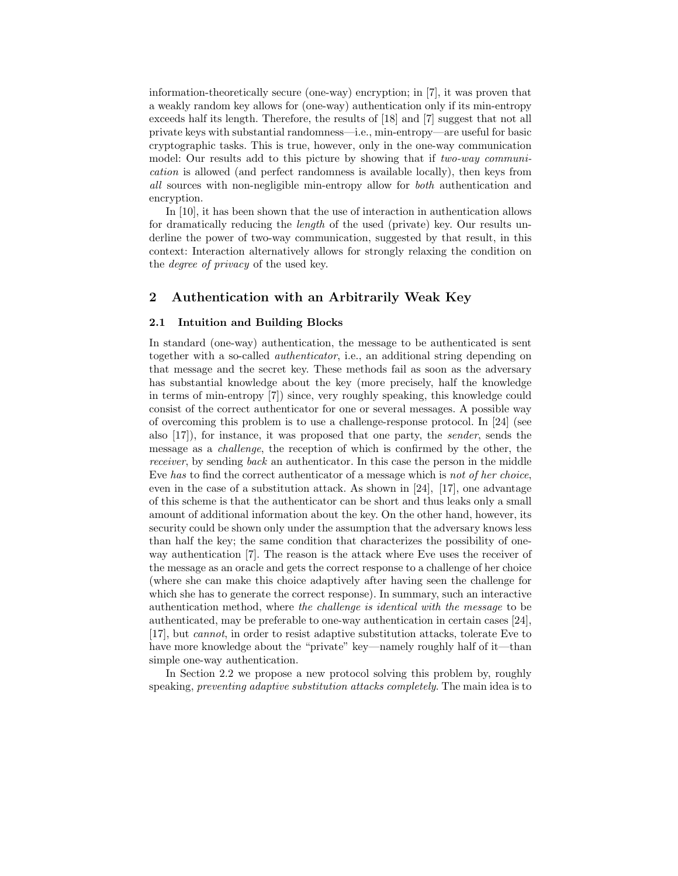information-theoretically secure (one-way) encryption; in [7], it was proven that a weakly random key allows for (one-way) authentication only if its min-entropy exceeds half its length. Therefore, the results of [18] and [7] suggest that not all private keys with substantial randomness—i.e., min-entropy—are useful for basic cryptographic tasks. This is true, however, only in the one-way communication model: Our results add to this picture by showing that if two-way communication is allowed (and perfect randomness is available locally), then keys from all sources with non-negligible min-entropy allow for both authentication and encryption.

In [10], it has been shown that the use of interaction in authentication allows for dramatically reducing the length of the used (private) key. Our results underline the power of two-way communication, suggested by that result, in this context: Interaction alternatively allows for strongly relaxing the condition on the degree of privacy of the used key.

#### 2 Authentication with an Arbitrarily Weak Key

#### 2.1 Intuition and Building Blocks

In standard (one-way) authentication, the message to be authenticated is sent together with a so-called authenticator, i.e., an additional string depending on that message and the secret key. These methods fail as soon as the adversary has substantial knowledge about the key (more precisely, half the knowledge in terms of min-entropy [7]) since, very roughly speaking, this knowledge could consist of the correct authenticator for one or several messages. A possible way of overcoming this problem is to use a challenge-response protocol. In [24] (see also [17]), for instance, it was proposed that one party, the sender, sends the message as a challenge, the reception of which is confirmed by the other, the receiver, by sending back an authenticator. In this case the person in the middle Eve has to find the correct authenticator of a message which is not of her choice, even in the case of a substitution attack. As shown in [24], [17], one advantage of this scheme is that the authenticator can be short and thus leaks only a small amount of additional information about the key. On the other hand, however, its security could be shown only under the assumption that the adversary knows less than half the key; the same condition that characterizes the possibility of oneway authentication [7]. The reason is the attack where Eve uses the receiver of the message as an oracle and gets the correct response to a challenge of her choice (where she can make this choice adaptively after having seen the challenge for which she has to generate the correct response). In summary, such an interactive authentication method, where the challenge is identical with the message to be authenticated, may be preferable to one-way authentication in certain cases [24], [17], but cannot, in order to resist adaptive substitution attacks, tolerate Eve to have more knowledge about the "private" key—namely roughly half of it—than simple one-way authentication.

In Section 2.2 we propose a new protocol solving this problem by, roughly speaking, preventing adaptive substitution attacks completely. The main idea is to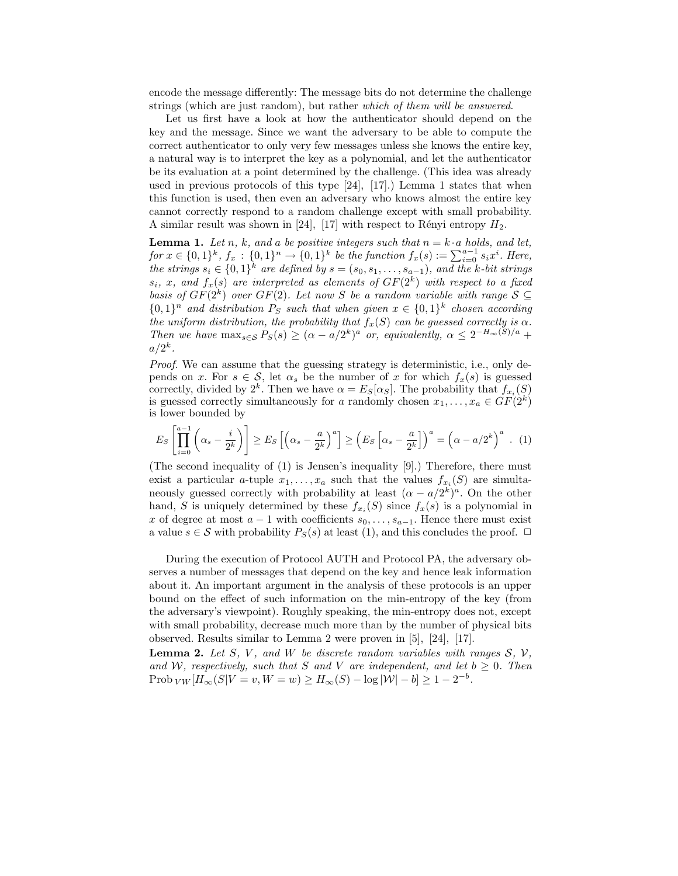encode the message differently: The message bits do not determine the challenge strings (which are just random), but rather which of them will be answered.

Let us first have a look at how the authenticator should depend on the key and the message. Since we want the adversary to be able to compute the correct authenticator to only very few messages unless she knows the entire key, a natural way is to interpret the key as a polynomial, and let the authenticator be its evaluation at a point determined by the challenge. (This idea was already used in previous protocols of this type [24], [17].) Lemma 1 states that when this function is used, then even an adversary who knows almost the entire key cannot correctly respond to a random challenge except with small probability. A similar result was shown in [24], [17] with respect to Rényi entropy  $H_2$ .

**Lemma 1.** Let n, k, and a be positive integers such that  $n = k \cdot a$  holds, and let, for  $x \in \{0,1\}^k$ ,  $f_x : \{0,1\}^n \to \{0,1\}^k$  be the function  $f_x(s) := \sum_{i=0}^{a-1} s_i x^i$ . Here, the strings  $s_i \in \{0,1\}^k$  are defined by  $s = (s_0, s_1, \ldots, s_{a-1})$ , and the k-bit strings  $s_i$ , x, and  $f_x(s)$  are interpreted as elements of  $GF(2^k)$  with respect to a fixed basis of  $GF(2^k)$  over  $GF(2)$ . Let now S be a random variable with range  $S \subseteq$  ${0,1}^n$  and distribution  $P_S$  such that when given  $x \in {0,1}^k$  chosen according the uniform distribution, the probability that  $f_x(S)$  can be guessed correctly is  $\alpha$ . Then we have  $\max_{s \in \mathcal{S}} P_S(s) \geq (\alpha - a/2^k)^a$  or, equivalently,  $\alpha \leq 2^{-H_{\infty}(S)/a}$  +  $a/2^k$  .

Proof. We can assume that the guessing strategy is deterministic, i.e., only depends on x. For  $s \in \mathcal{S}$ , let  $\alpha_s$  be the number of x for which  $f_x(s)$  is guessed correctly, divided by  $2^k$ . Then we have  $\alpha = E_S[\alpha_S]$ . The probability that  $f_{x_i}(S)$ is guessed correctly simultaneously for a randomly chosen  $x_1, \ldots, x_a \in GF(2^k)$ is lower bounded by

$$
E_S\left[\prod_{i=0}^{a-1} \left(\alpha_s - \frac{i}{2^k}\right)\right] \ge E_S\left[\left(\alpha_s - \frac{a}{2^k}\right)^a\right] \ge \left(E_S\left[\alpha_s - \frac{a}{2^k}\right]\right)^a = \left(\alpha - a/2^k\right)^a. \tag{1}
$$

(The second inequality of (1) is Jensen's inequality [9].) Therefore, there must exist a particular a-tuple  $x_1, \ldots, x_a$  such that the values  $f_{x_i}(S)$  are simultaneously guessed correctly with probability at least  $(\alpha - a/2^k)^a$ . On the other hand, S is uniquely determined by these  $f_{x_i}(S)$  since  $f_x(s)$  is a polynomial in x of degree at most  $a-1$  with coefficients  $s_0, \ldots, s_{a-1}$ . Hence there must exist a value  $s \in \mathcal{S}$  with probability  $P_S(s)$  at least (1), and this concludes the proof.  $\Box$ 

During the execution of Protocol AUTH and Protocol PA, the adversary observes a number of messages that depend on the key and hence leak information about it. An important argument in the analysis of these protocols is an upper bound on the effect of such information on the min-entropy of the key (from the adversary's viewpoint). Roughly speaking, the min-entropy does not, except with small probability, decrease much more than by the number of physical bits observed. Results similar to Lemma 2 were proven in [5], [24], [17].

**Lemma 2.** Let S, V, and W be discrete random variables with ranges  $S$ , V, and W, respectively, such that S and V are independent, and let  $b \geq 0$ . Then  $\text{Prob}_{VW}[H_{\infty}(S|V=v, W=w) \ge H_{\infty}(S) - \log |\mathcal{W}| - b] \ge 1 - 2^{-b}.$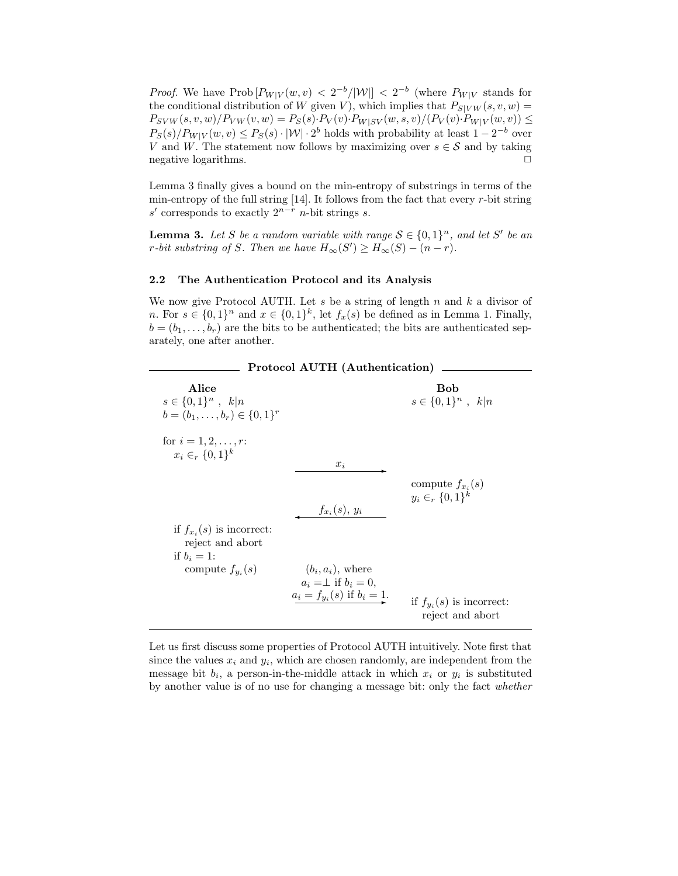*Proof.* We have Prob  $[P_{W|V}(w, v) < 2^{-b}/|W|] < 2^{-b}$  (where  $P_{W|V}$  stands for the conditional distribution of W given V), which implies that  $P_{S|VW}(s, v, w) =$  $P_{SVW}(s, v, w)/P_{VW}(v, w) = P_S(s) \cdot P_V(v) \cdot P_{W|SV}(w, s, v)/(P_V(v) \cdot P_{W|V}(w, v)) \le$  $P_S(s)/P_{W|V}(w, v) \le P_S(s) \cdot |\mathcal{W}| \cdot 2^b$  holds with probability at least  $1 - 2^{-b}$  over V and W. The statement now follows by maximizing over  $s \in S$  and by taking negative logarithms. negative logarithms.

Lemma 3 finally gives a bound on the min-entropy of substrings in terms of the min-entropy of the full string  $[14]$ . It follows from the fact that every r-bit string s' corresponds to exactly  $2^{n-r}$  n-bit strings s.

**Lemma 3.** Let S be a random variable with range  $S \in \{0,1\}^n$ , and let S' be an r-bit substring of S. Then we have  $H_{\infty}(S') \geq H_{\infty}(S) - (n-r)$ .

#### 2.2 The Authentication Protocol and its Analysis

We now give Protocol AUTH. Let  $s$  be a string of length  $n$  and  $k$  a divisor of n. For  $s \in \{0,1\}^n$  and  $x \in \{0,1\}^k$ , let  $f_x(s)$  be defined as in Lemma 1. Finally,  $b = (b_1, \ldots, b_r)$  are the bits to be authenticated; the bits are authenticated separately, one after another.

| Protocol AUTH (Authentication)                                                                                                              |                                                                                           |                                                   |
|---------------------------------------------------------------------------------------------------------------------------------------------|-------------------------------------------------------------------------------------------|---------------------------------------------------|
| Alice<br>$s \in \{0,1\}^n$ , $k n$<br>$b=(b_1,\ldots,b_r)\in\{0,1\}^r$                                                                      |                                                                                           | <b>Bob</b><br>$s \in \{0,1\}^n$ , $k n$           |
| for $i = 1, 2, , r$ :<br>$x_i \in \{0,1\}^k$<br>if $f_{x_i}(s)$ is incorrect:<br>reject and abort<br>if $b_i = 1$ :<br>compute $f_{y_i}(s)$ | $x_i$<br>$f_{x_i}(s)$ , $y_i$                                                             | compute $f_{x_i}(s)$<br>$y_i \in_r \{0,1\}^k$     |
|                                                                                                                                             | $(b_i, a_i)$ , where<br>$a_i = \perp$ if $b_i = 0$ .<br>$a_i = f_{y_i}(s)$ if $b_i = 1$ . | if $f_{y_i}(s)$ is incorrect:<br>reject and abort |

Let us first discuss some properties of Protocol AUTH intuitively. Note first that since the values  $x_i$  and  $y_i$ , which are chosen randomly, are independent from the message bit  $b_i$ , a person-in-the-middle attack in which  $x_i$  or  $y_i$  is substituted by another value is of no use for changing a message bit: only the fact whether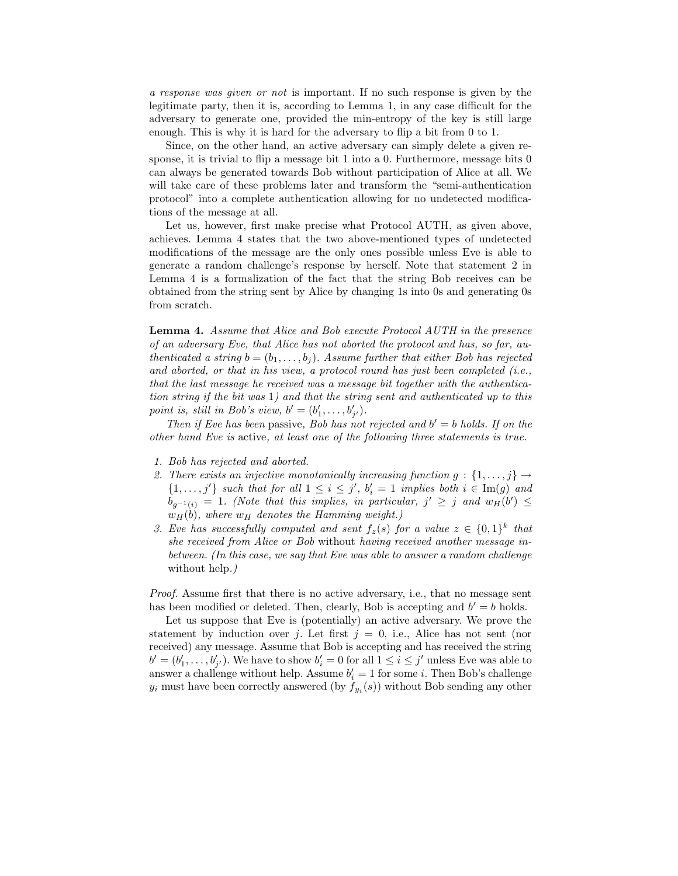a response was given or not is important. If no such response is given by the legitimate party, then it is, according to Lemma 1, in any case difficult for the adversary to generate one, provided the min-entropy of the key is still large enough. This is why it is hard for the adversary to flip a bit from 0 to 1.

Since, on the other hand, an active adversary can simply delete a given response, it is trivial to flip a message bit 1 into a 0. Furthermore, message bits 0 can always be generated towards Bob without participation of Alice at all. We will take care of these problems later and transform the "semi-authentication protocol" into a complete authentication allowing for no undetected modifications of the message at all.

Let us, however, first make precise what Protocol AUTH, as given above, achieves. Lemma 4 states that the two above-mentioned types of undetected modifications of the message are the only ones possible unless Eve is able to generate a random challenge's response by herself. Note that statement 2 in Lemma 4 is a formalization of the fact that the string Bob receives can be obtained from the string sent by Alice by changing 1s into 0s and generating 0s from scratch.

Lemma 4. Assume that Alice and Bob execute Protocol AUTH in the presence of an adversary Eve, that Alice has not aborted the protocol and has, so far, authenticated a string  $b = (b_1, \ldots, b_j)$ . Assume further that either Bob has rejected and aborted, or that in his view, a protocol round has just been completed (i.e., that the last message he received was a message bit together with the authentication string if the bit was 1) and that the string sent and authenticated up to this point is, still in Bob's view,  $b' = (b'_1, \ldots, b'_{j'})$ .

Then if Eve has been passive, Bob has not rejected and  $b' = b$  holds. If on the other hand Eve is active, at least one of the following three statements is true.

- 1. Bob has rejected and aborted.
- 2. There exists an injective monotonically increasing function  $g: \{1, \ldots, j\} \rightarrow$  $\{1,\ldots,j'\}$  such that for all  $1 \leq i \leq j'$ ,  $b'_i = 1$  implies both  $i \in \text{Im}(g)$  and  $b_{g^{-1}(i)} = 1$ . (Note that this implies, in particular,  $j' \geq j$  and  $w_H(b') \leq j$  $w_H(b)$ , where  $w_H$  denotes the Hamming weight.)
- 3. Eve has successfully computed and sent  $f_z(s)$  for a value  $z \in \{0,1\}^k$  that she received from Alice or Bob without having received another message inbetween. (In this case, we say that Eve was able to answer a random challenge without help.)

Proof. Assume first that there is no active adversary, i.e., that no message sent has been modified or deleted. Then, clearly, Bob is accepting and  $b' = b$  holds.

Let us suppose that Eve is (potentially) an active adversary. We prove the statement by induction over j. Let first  $j = 0$ , i.e., Alice has not sent (nor received) any message. Assume that Bob is accepting and has received the string  $b' = (b'_1, \ldots, b'_{j'})$ . We have to show  $b'_i = 0$  for all  $1 \leq i \leq j'$  unless Eve was able to answer a challenge without help. Assume  $b_i' = 1$  for some i. Then Bob's challenge  $y_i$  must have been correctly answered (by  $f_{y_i}(s)$ ) without Bob sending any other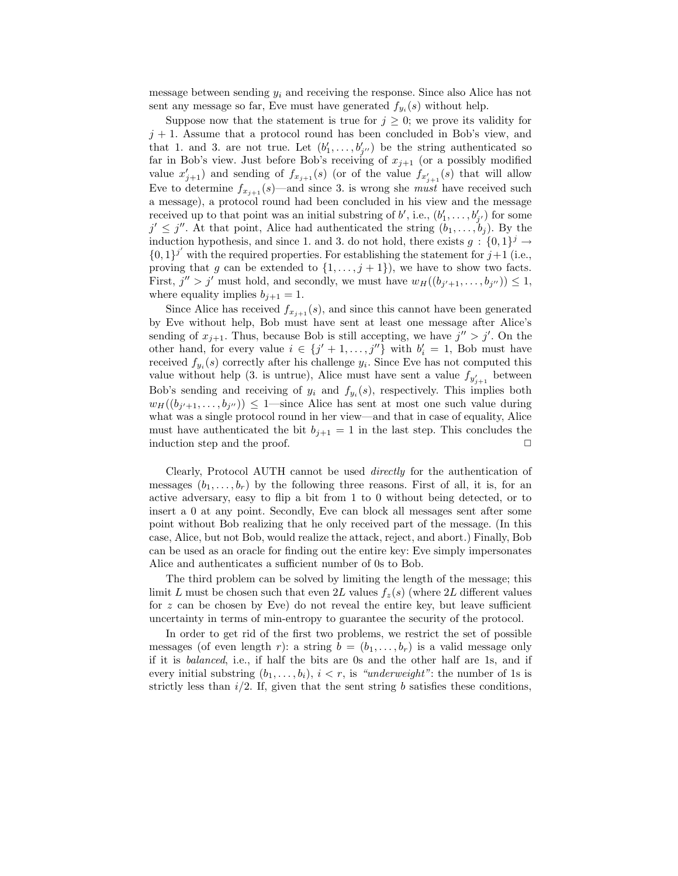message between sending  $y_i$  and receiving the response. Since also Alice has not sent any message so far, Eve must have generated  $f_{y_i}(s)$  without help.

Suppose now that the statement is true for  $j \geq 0$ ; we prove its validity for  $j + 1$ . Assume that a protocol round has been concluded in Bob's view, and that 1. and 3. are not true. Let  $(b'_1, \ldots, b'_{j''})$  be the string authenticated so far in Bob's view. Just before Bob's receiving of  $x_{j+1}$  (or a possibly modified value  $x'_{j+1}$  and sending of  $f_{x_{j+1}}(s)$  (or of the value  $f_{x'_{j+1}}(s)$  that will allow Eve to determine  $f_{x_{i+1}}(s)$ —and since 3. is wrong she must have received such a message), a protocol round had been concluded in his view and the message received up to that point was an initial substring of  $b'$ , i.e.,  $(b'_1, \ldots, b'_{j'})$  for some  $j' \leq j''$ . At that point, Alice had authenticated the string  $(b_1, \ldots, b_j)$ . By the induction hypothesis, and since 1. and 3. do not hold, there exists  $g: \{0,1\}^j \to$  $\{0,1\}^{j'}$  with the required properties. For establishing the statement for  $j+1$  (i.e., proving that g can be extended to  $\{1, \ldots, j+1\}$ , we have to show two facts. First,  $j'' > j'$  must hold, and secondly, we must have  $w_{H}((b_{j'+1},...,b_{j''})) \leq 1$ , where equality implies  $b_{j+1} = 1$ .

Since Alice has received  $f_{x_{j+1}}(s)$ , and since this cannot have been generated by Eve without help, Bob must have sent at least one message after Alice's sending of  $x_{j+1}$ . Thus, because Bob is still accepting, we have  $j'' > j'$ . On the other hand, for every value  $i \in \{j' + 1, \ldots, j''\}$  with  $b'_i = 1$ , Bob must have received  $f_{y_i}(s)$  correctly after his challenge  $y_i$ . Since Eve has not computed this value without help (3. is untrue), Alice must have sent a value  $f_{y'_{j+1}}$  between Bob's sending and receiving of  $y_i$  and  $f_{y_i}(s)$ , respectively. This implies both  $w_H((b_{j'+1},...,b_{j''})) \leq 1$ —since Alice has sent at most one such value during what was a single protocol round in her view—and that in case of equality, Alice must have authenticated the bit  $b_{j+1} = 1$  in the last step. This concludes the induction step and the proof.  $\Box$ 

Clearly, Protocol AUTH cannot be used directly for the authentication of messages  $(b_1, \ldots, b_r)$  by the following three reasons. First of all, it is, for an active adversary, easy to flip a bit from 1 to 0 without being detected, or to insert a 0 at any point. Secondly, Eve can block all messages sent after some point without Bob realizing that he only received part of the message. (In this case, Alice, but not Bob, would realize the attack, reject, and abort.) Finally, Bob can be used as an oracle for finding out the entire key: Eve simply impersonates Alice and authenticates a sufficient number of 0s to Bob.

The third problem can be solved by limiting the length of the message; this limit L must be chosen such that even 2L values  $f_z(s)$  (where 2L different values for  $z$  can be chosen by Eve) do not reveal the entire key, but leave sufficient uncertainty in terms of min-entropy to guarantee the security of the protocol.

In order to get rid of the first two problems, we restrict the set of possible messages (of even length r): a string  $b = (b_1, \ldots, b_r)$  is a valid message only if it is balanced, i.e., if half the bits are 0s and the other half are 1s, and if every initial substring  $(b_1, \ldots, b_i)$ ,  $i < r$ , is "underweight": the number of 1s is strictly less than  $i/2$ . If, given that the sent string b satisfies these conditions,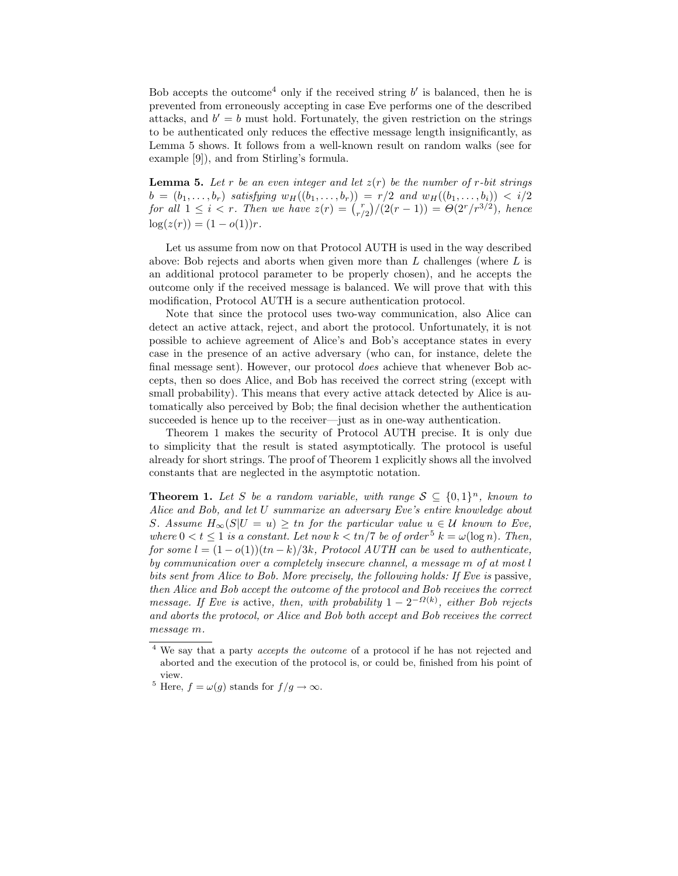Bob accepts the outcome<sup>4</sup> only if the received string  $b'$  is balanced, then he is prevented from erroneously accepting in case Eve performs one of the described attacks, and  $b' = b$  must hold. Fortunately, the given restriction on the strings to be authenticated only reduces the effective message length insignificantly, as Lemma 5 shows. It follows from a well-known result on random walks (see for example [9]), and from Stirling's formula.

**Lemma 5.** Let r be an even integer and let  $z(r)$  be the number of r-bit strings  $b = (b_1, \ldots, b_r)$  satisfying  $w_H((b_1, \ldots, b_r)) = r/2$  and  $w_H((b_1, \ldots, b_i)) < i/2$ for all  $1 \leq i < r$ . Then we have  $z(r) = {r \choose r/2} / (2(r-1)) = \Theta(2^r / r^{3/2})$ , hence  $\log(z(r)) = (1 - o(1))r.$ 

Let us assume from now on that Protocol AUTH is used in the way described above: Bob rejects and aborts when given more than  $L$  challenges (where  $L$  is an additional protocol parameter to be properly chosen), and he accepts the outcome only if the received message is balanced. We will prove that with this modification, Protocol AUTH is a secure authentication protocol.

Note that since the protocol uses two-way communication, also Alice can detect an active attack, reject, and abort the protocol. Unfortunately, it is not possible to achieve agreement of Alice's and Bob's acceptance states in every case in the presence of an active adversary (who can, for instance, delete the final message sent). However, our protocol *does* achieve that whenever Bob accepts, then so does Alice, and Bob has received the correct string (except with small probability). This means that every active attack detected by Alice is automatically also perceived by Bob; the final decision whether the authentication succeeded is hence up to the receiver—just as in one-way authentication.

Theorem 1 makes the security of Protocol AUTH precise. It is only due to simplicity that the result is stated asymptotically. The protocol is useful already for short strings. The proof of Theorem 1 explicitly shows all the involved constants that are neglected in the asymptotic notation.

**Theorem 1.** Let S be a random variable, with range  $S \subseteq \{0,1\}^n$ , known to Alice and Bob, and let U summarize an adversary Eve's entire knowledge about S. Assume  $H_{\infty}(S|U = u) \geq tn$  for the particular value  $u \in U$  known to Eve, where  $0 < t \leq 1$  is a constant. Let now  $k < \lfloor t/7 \rfloor$  be of order  $5 \leq \omega(\log n)$ . Then, for some  $l = (1 - o(1))(tn - k)/3k$ , Protocol AUTH can be used to authenticate, by communication over a completely insecure channel, a message m of at most l bits sent from Alice to Bob. More precisely, the following holds: If Eve is passive, then Alice and Bob accept the outcome of the protocol and Bob receives the correct message. If Eve is active, then, with probability  $1 - 2^{-\Omega(k)}$ , either Bob rejects and aborts the protocol, or Alice and Bob both accept and Bob receives the correct message m.

<sup>&</sup>lt;sup>4</sup> We say that a party *accepts the outcome* of a protocol if he has not rejected and aborted and the execution of the protocol is, or could be, finished from his point of view.

<sup>&</sup>lt;sup>5</sup> Here,  $f = \omega(g)$  stands for  $f/g \to \infty$ .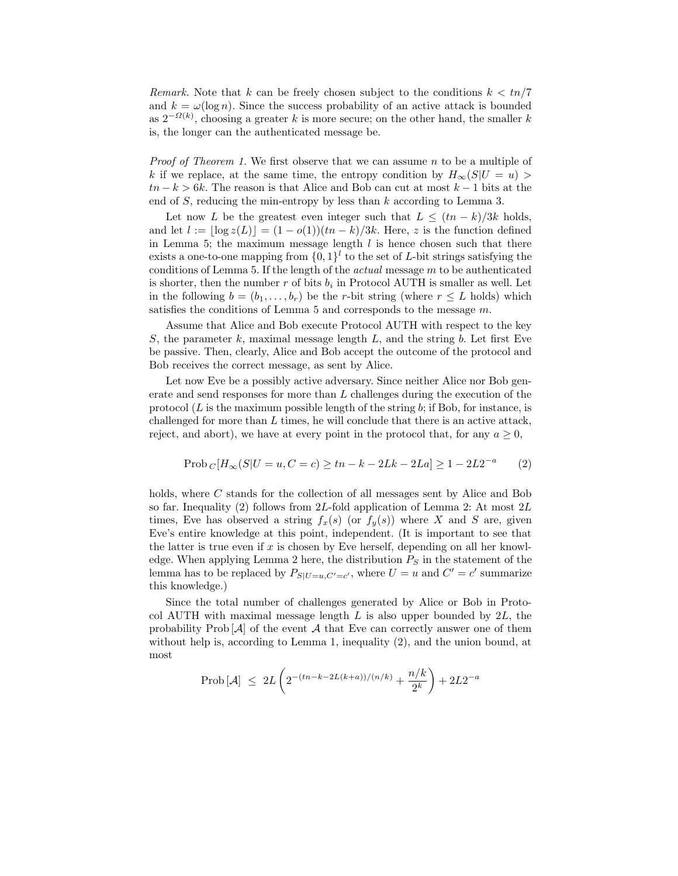Remark. Note that k can be freely chosen subject to the conditions  $k < \frac{tn}{7}$ and  $k = \omega(\log n)$ . Since the success probability of an active attack is bounded as  $2^{-\Omega(k)}$ , choosing a greater k is more secure; on the other hand, the smaller k is, the longer can the authenticated message be.

*Proof of Theorem 1.* We first observe that we can assume  $n$  to be a multiple of k if we replace, at the same time, the entropy condition by  $H_{\infty}(S|U = u)$  $tn - k > 6k$ . The reason is that Alice and Bob can cut at most  $k - 1$  bits at the end of  $S$ , reducing the min-entropy by less than  $k$  according to Lemma 3.

Let now L be the greatest even integer such that  $L \leq (tn - k)/3k$  holds, and let  $l := |\log z(L)| = (1 - o(1))(tn - k)/3k$ . Here, z is the function defined in Lemma 5; the maximum message length  $l$  is hence chosen such that there exists a one-to-one mapping from  $\{0,1\}^l$  to the set of L-bit strings satisfying the conditions of Lemma 5. If the length of the *actual* message  $m$  to be authenticated is shorter, then the number r of bits  $b_i$  in Protocol AUTH is smaller as well. Let in the following  $b = (b_1, \ldots, b_r)$  be the r-bit string (where  $r \leq L$  holds) which satisfies the conditions of Lemma 5 and corresponds to the message m.

Assume that Alice and Bob execute Protocol AUTH with respect to the key S, the parameter  $k$ , maximal message length  $L$ , and the string  $b$ . Let first Eve be passive. Then, clearly, Alice and Bob accept the outcome of the protocol and Bob receives the correct message, as sent by Alice.

Let now Eve be a possibly active adversary. Since neither Alice nor Bob generate and send responses for more than  $L$  challenges during the execution of the protocol  $(L$  is the maximum possible length of the string  $b$ ; if Bob, for instance, is challenged for more than  $L$  times, he will conclude that there is an active attack, reject, and abort), we have at every point in the protocol that, for any  $a \geq 0$ ,

$$
\text{Prob}_C[H_\infty(S|U=u, C=c) \ge tn - k - 2Lk - 2La] \ge 1 - 2L2^{-a} \tag{2}
$$

holds, where C stands for the collection of all messages sent by Alice and Bob so far. Inequality (2) follows from 2L-fold application of Lemma 2: At most 2L times, Eve has observed a string  $f_x(s)$  (or  $f_y(s)$ ) where X and S are, given Eve's entire knowledge at this point, independent. (It is important to see that the latter is true even if  $x$  is chosen by Eve herself, depending on all her knowledge. When applying Lemma 2 here, the distribution  $P<sub>S</sub>$  in the statement of the lemma has to be replaced by  $P_{S|U=u,C'=c'}$ , where  $U=u$  and  $C'=c'$  summarize this knowledge.)

Since the total number of challenges generated by Alice or Bob in Protocol AUTH with maximal message length  $L$  is also upper bounded by  $2L$ , the probability Prob  $[\mathcal{A}]$  of the event  $\mathcal A$  that Eve can correctly answer one of them without help is, according to Lemma 1, inequality (2), and the union bound, at most

$$
\text{Prob}\left[\mathcal{A}\right] \ \leq \ 2L\left(2^{-(tn-k-2L(k+a))/(n/k)} + \frac{n/k}{2^k}\right) + 2L2^{-a}
$$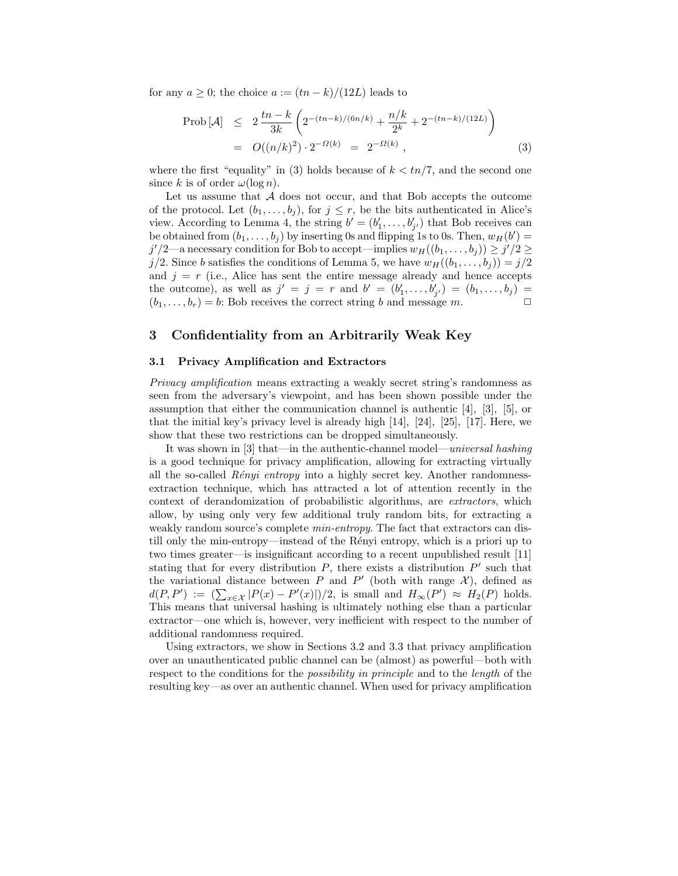for any  $a > 0$ ; the choice  $a := (tn - k)/(12L)$  leads to

$$
\text{Prob}[\mathcal{A}] \le 2 \frac{tn - k}{3k} \left( 2^{-(tn-k)/(6n/k)} + \frac{n/k}{2^k} + 2^{-(tn-k)/(12L)} \right)
$$
\n
$$
= O((n/k)^2) \cdot 2^{-\Omega(k)} = 2^{-\Omega(k)}, \tag{3}
$$

where the first "equality" in (3) holds because of  $k < \frac{tn}{7}$ , and the second one since k is of order  $\omega(\log n)$ .

Let us assume that  $A$  does not occur, and that Bob accepts the outcome of the protocol. Let  $(b_1, \ldots, b_j)$ , for  $j \leq r$ , be the bits authenticated in Alice's view. According to Lemma 4, the string  $b' = (b'_1, \ldots, b'_{j'})$  that Bob receives can be obtained from  $(b_1, \ldots, b_j)$  by inserting 0s and flipping 1s to 0s. Then,  $w_H(b') =$  $j'/2$ —a necessary condition for Bob to accept—implies  $w_H((b_1, \ldots, b_j)) \geq j'/2 \geq$  $j/2$ . Since b satisfies the conditions of Lemma 5, we have  $w_H((b_1, \ldots, b_j)) = j/2$ and  $j = r$  (i.e., Alice has sent the entire message already and hence accepts the outcome), as well as  $j' = j = r$  and  $b' = (b'_1, ..., b'_{j'}) = (b_1, ..., b_j) =$  $(b_1, \ldots, b_r) = b$ : Bob receives the correct string b and message m.

# 3 Confidentiality from an Arbitrarily Weak Key

#### 3.1 Privacy Amplification and Extractors

Privacy amplification means extracting a weakly secret string's randomness as seen from the adversary's viewpoint, and has been shown possible under the assumption that either the communication channel is authentic [4], [3], [5], or that the initial key's privacy level is already high  $[14]$ ,  $[24]$ ,  $[25]$ ,  $[17]$ . Here, we show that these two restrictions can be dropped simultaneously.

It was shown in [3] that—in the authentic-channel model—universal hashing is a good technique for privacy amplification, allowing for extracting virtually all the so-called  $\hat{Renyi}$  entropy into a highly secret key. Another randomnessextraction technique, which has attracted a lot of attention recently in the context of derandomization of probabilistic algorithms, are extractors, which allow, by using only very few additional truly random bits, for extracting a weakly random source's complete *min-entropy*. The fact that extractors can distill only the min-entropy—instead of the Rényi entropy, which is a priori up to two times greater—is insignificant according to a recent unpublished result [11] stating that for every distribution  $P$ , there exists a distribution  $P'$  such that the variational distance between P and P' (both with range  $\mathcal{X}$ ), defined as  $d(P, P') := (\sum_{x \in \mathcal{X}} |P(x) - P'(x)|)/2$ , is small and  $H_{\infty}(P') \approx H_2(P)$  holds. This means that universal hashing is ultimately nothing else than a particular extractor—one which is, however, very inefficient with respect to the number of additional randomness required.

Using extractors, we show in Sections 3.2 and 3.3 that privacy amplification over an unauthenticated public channel can be (almost) as powerful—both with respect to the conditions for the *possibility in principle* and to the *length* of the resulting key—as over an authentic channel. When used for privacy amplification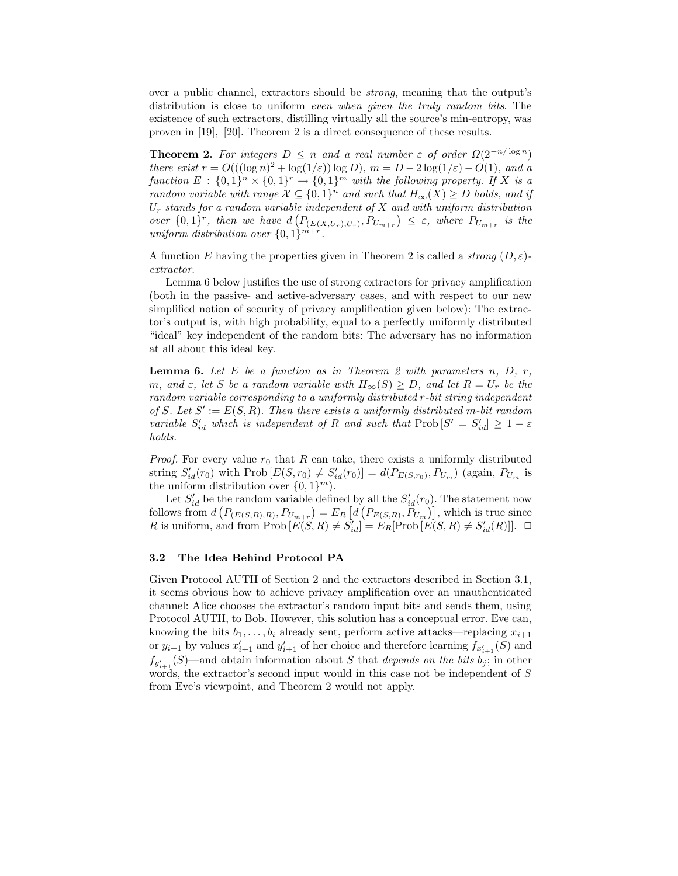over a public channel, extractors should be strong, meaning that the output's distribution is close to uniform even when given the truly random bits. The existence of such extractors, distilling virtually all the source's min-entropy, was proven in [19], [20]. Theorem 2 is a direct consequence of these results.

**Theorem 2.** For integers  $D \leq n$  and a real number  $\varepsilon$  of order  $\Omega(2^{-n/\log n})$ there exist  $r = O(((\log n)^2 + \log(1/\varepsilon))\log D)$ ,  $m = D - 2\log(1/\varepsilon) - O(1)$ , and a function  $E: \{0,1\}^n \times \{0,1\}^r \rightarrow \{0,1\}^m$  with the following property. If X is a random variable with range  $\mathcal{X} \subseteq \{0,1\}^n$  and such that  $H_{\infty}(X) \ge D$  holds, and if  $U_r$  stands for a random variable independent of X and with uniform distribution over  $\{0,1\}^r$ , then we have  $d\left(P_{(E(X,U_r),U_r)},P_{U_{m+r}}\right) \leq \varepsilon$ , where  $P_{U_{m+r}}$  is the uniform distribution over  $\{0,1\}^{m+r}$ .

A function E having the properties given in Theorem 2 is called a strong  $(D, \varepsilon)$ extractor.

Lemma 6 below justifies the use of strong extractors for privacy amplification (both in the passive- and active-adversary cases, and with respect to our new simplified notion of security of privacy amplification given below): The extractor's output is, with high probability, equal to a perfectly uniformly distributed "ideal" key independent of the random bits: The adversary has no information at all about this ideal key.

**Lemma 6.** Let E be a function as in Theorem 2 with parameters  $n$ ,  $D$ ,  $r$ , m, and  $\varepsilon$ , let S be a random variable with  $H_{\infty}(S) \geq D$ , and let  $R = U_r$  be the random variable corresponding to a uniformly distributed r-bit string independent of S. Let  $S' := E(S, R)$ . Then there exists a uniformly distributed m-bit random variable  $S'_{id}$  which is independent of R and such that  $\text{Prob}\left[S' = S'_{id}\right] \geq 1 - \varepsilon$ holds.

*Proof.* For every value  $r_0$  that R can take, there exists a uniformly distributed string  $S'_{id}(r_0)$  with Prob $[E(S, r_0) \neq S'_{id}(r_0)] = d(P_{E(S, r_0)}, P_{U_m})$  (again,  $P_{U_m}$  is the uniform distribution over  $\{0,1\}^m$ ).

Let  $S'_{id}$  be the random variable defined by all the  $S'_{id}(r_0)$ . The statement now follows from  $d\left(P_{(E(S,R),R)}, P_{U_{m+r}}\right) = E_R\left[d\left(P_{E(S,R)}, P_{U_m}\right)\right]$ , which is true since R is uniform, and from Prob  $[\tilde{E}(S, R) \neq S'_{id}] = E_R[\text{Prob}[\tilde{E}(S, R) \neq S'_{id}(R)]]$ .  $\Box$ 

#### 3.2 The Idea Behind Protocol PA

Given Protocol AUTH of Section 2 and the extractors described in Section 3.1, it seems obvious how to achieve privacy amplification over an unauthenticated channel: Alice chooses the extractor's random input bits and sends them, using Protocol AUTH, to Bob. However, this solution has a conceptual error. Eve can, knowing the bits  $b_1, \ldots, b_i$  already sent, perform active attacks—replacing  $x_{i+1}$ or  $y_{i+1}$  by values  $x'_{i+1}$  and  $y'_{i+1}$  of her choice and therefore learning  $f_{x'_{i+1}}(S)$  and  $f_{y'_{i+1}}(S)$ —and obtain information about S that depends on the bits  $b_j$ ; in other words, the extractor's second input would in this case not be independent of S from Eve's viewpoint, and Theorem 2 would not apply.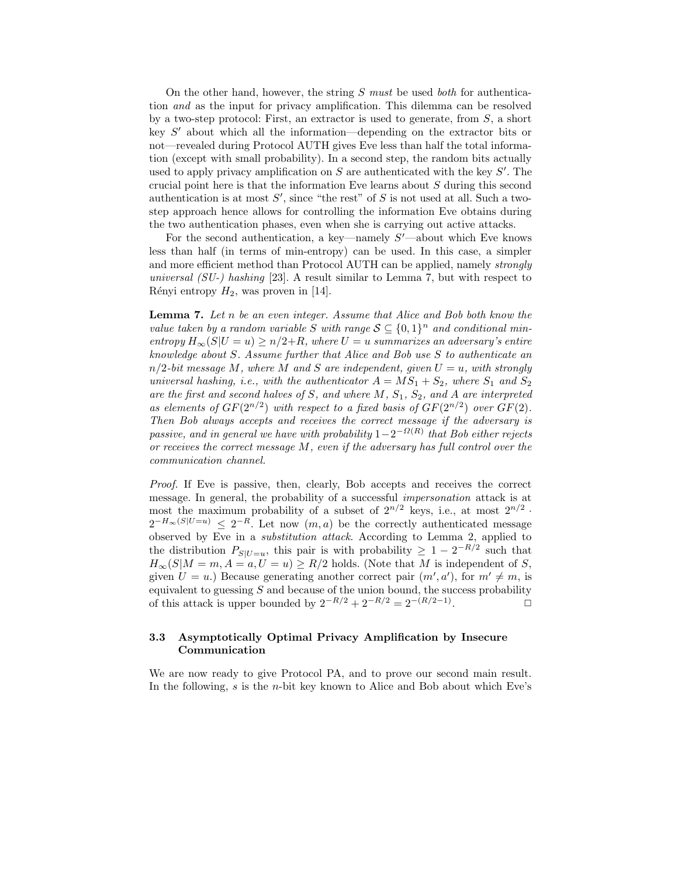On the other hand, however, the string S must be used both for authentication and as the input for privacy amplification. This dilemma can be resolved by a two-step protocol: First, an extractor is used to generate, from S, a short key  $S'$  about which all the information—depending on the extractor bits or not—revealed during Protocol AUTH gives Eve less than half the total information (except with small probability). In a second step, the random bits actually used to apply privacy amplification on  $S$  are authenticated with the key  $S'$ . The crucial point here is that the information Eve learns about  $S$  during this second authentication is at most  $S'$ , since "the rest" of S is not used at all. Such a twostep approach hence allows for controlling the information Eve obtains during the two authentication phases, even when she is carrying out active attacks.

For the second authentication, a key—namely  $S'$ —about which Eve knows less than half (in terms of min-entropy) can be used. In this case, a simpler and more efficient method than Protocol AUTH can be applied, namely strongly universal  $(SU-)$  hashing [23]. A result similar to Lemma 7, but with respect to Rényi entropy  $H_2$ , was proven in [14].

Lemma 7. Let n be an even integer. Assume that Alice and Bob both know the value taken by a random variable S with range  $S \subseteq \{0,1\}^n$  and conditional minentropy  $H_{\infty}(S|U=u) \geq n/2+R$ , where  $U=u$  summarizes an adversary's entire knowledge about S. Assume further that Alice and Bob use S to authenticate an  $n/2$ -bit message M, where M and S are independent, given  $U = u$ , with strongly universal hashing, i.e., with the authenticator  $A = MS_1 + S_2$ , where  $S_1$  and  $S_2$ are the first and second halves of  $S$ , and where  $M$ ,  $S_1$ ,  $S_2$ , and  $A$  are interpreted as elements of  $GF(2^{n/2})$  with respect to a fixed basis of  $GF(2^{n/2})$  over  $GF(2)$ . Then Bob always accepts and receives the correct message if the adversary is passive, and in general we have with probability  $1-2^{-\Omega(R)}$  that Bob either rejects or receives the correct message M, even if the adversary has full control over the communication channel.

Proof. If Eve is passive, then, clearly, Bob accepts and receives the correct message. In general, the probability of a successful impersonation attack is at most the maximum probability of a subset of  $2^{n/2}$  keys, i.e., at most  $2^{n/2}$ .  $2^{-H_{\infty}(S|U=u)} \leq 2^{-R}$ . Let now  $(m, a)$  be the correctly authenticated message observed by Eve in a substitution attack. According to Lemma 2, applied to the distribution  $P_{S|U=u}$ , this pair is with probability  $\geq 1-2^{-R/2}$  such that  $H_{\infty}(S|M=m, A=a, U=u) \geq R/2$  holds. (Note that M is independent of S, given  $U = u$ .) Because generating another correct pair  $(m', a')$ , for  $m' \neq m$ , is equivalent to guessing  $S$  and because of the union bound, the success probability of this attack is upper bounded by  $2^{-R/2} + 2^{-R/2} = 2^{-(R/2-1)}$ .  $\Box$ 

#### 3.3 Asymptotically Optimal Privacy Amplification by Insecure Communication

We are now ready to give Protocol PA, and to prove our second main result. In the following,  $s$  is the *n*-bit key known to Alice and Bob about which Eve's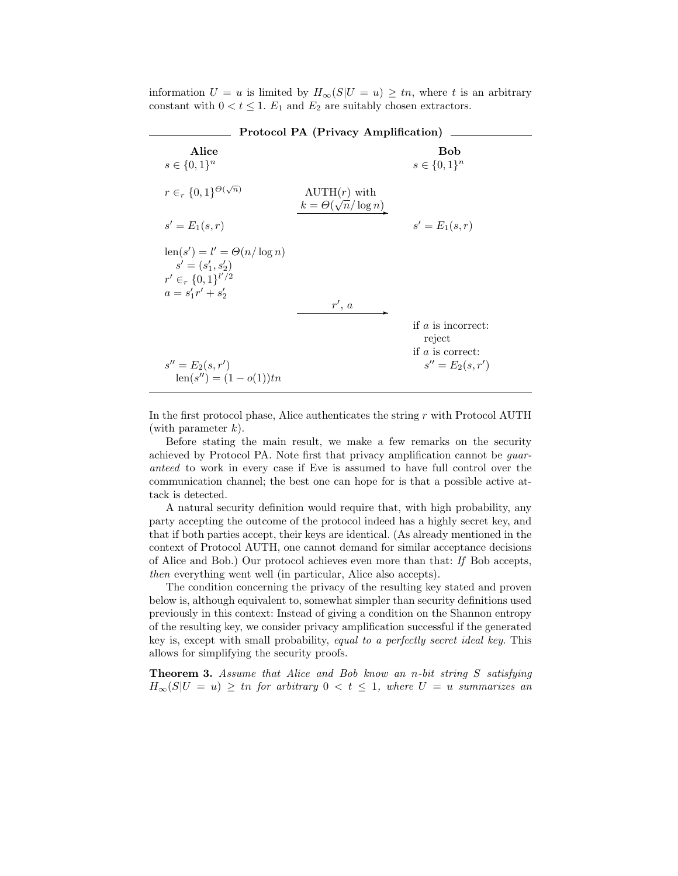information  $U = u$  is limited by  $H_{\infty}(S|U = u) \geq tn$ , where t is an arbitrary constant with  $0 < t \leq 1$ .  $E_1$  and  $E_2$  are suitably chosen extractors.

| Protocol PA (Privacy Amplification)                                                                                          |                                                 |                                                                            |  |
|------------------------------------------------------------------------------------------------------------------------------|-------------------------------------------------|----------------------------------------------------------------------------|--|
| Alice<br>$s \in \{0,1\}^n$                                                                                                   |                                                 | <b>Bob</b><br>$s \in \{0,1\}^n$                                            |  |
| $r \in_r \{0,1\}^{\Theta(\sqrt{n})}$                                                                                         | $AUTH(r)$ with<br>$k = \Theta(\sqrt{n}/\log n)$ |                                                                            |  |
| $s' = E_1(s,r)$                                                                                                              |                                                 | $s' = E_1(s,r)$                                                            |  |
| $\operatorname{len}(s') = l' = \Theta(n/\log n)$<br>$s' = (s'_1, s'_2)$<br>$r' \in_r \{0,1\}^{l'/2}$<br>$a = s'_1 r' + s'_2$ |                                                 |                                                                            |  |
|                                                                                                                              | r', a                                           |                                                                            |  |
| $s'' = E_2(s, r')$                                                                                                           |                                                 | if $a$ is incorrect:<br>reject<br>if $a$ is correct:<br>$s'' = E_2(s, r')$ |  |
| $len(s'') = (1 - o(1))tn$                                                                                                    |                                                 |                                                                            |  |

In the first protocol phase, Alice authenticates the string  $r$  with Protocol AUTH (with parameter  $k$ ).

Before stating the main result, we make a few remarks on the security achieved by Protocol PA. Note first that privacy amplification cannot be guaranteed to work in every case if Eve is assumed to have full control over the communication channel; the best one can hope for is that a possible active attack is detected.

A natural security definition would require that, with high probability, any party accepting the outcome of the protocol indeed has a highly secret key, and that if both parties accept, their keys are identical. (As already mentioned in the context of Protocol AUTH, one cannot demand for similar acceptance decisions of Alice and Bob.) Our protocol achieves even more than that: If Bob accepts, then everything went well (in particular, Alice also accepts).

The condition concerning the privacy of the resulting key stated and proven below is, although equivalent to, somewhat simpler than security definitions used previously in this context: Instead of giving a condition on the Shannon entropy of the resulting key, we consider privacy amplification successful if the generated key is, except with small probability, equal to a perfectly secret ideal key. This allows for simplifying the security proofs.

Theorem 3. Assume that Alice and Bob know an n-bit string S satisfying  $H_{\infty}(S|U = u) \geq tn$  for arbitrary  $0 < t \leq 1$ , where  $U = u$  summarizes an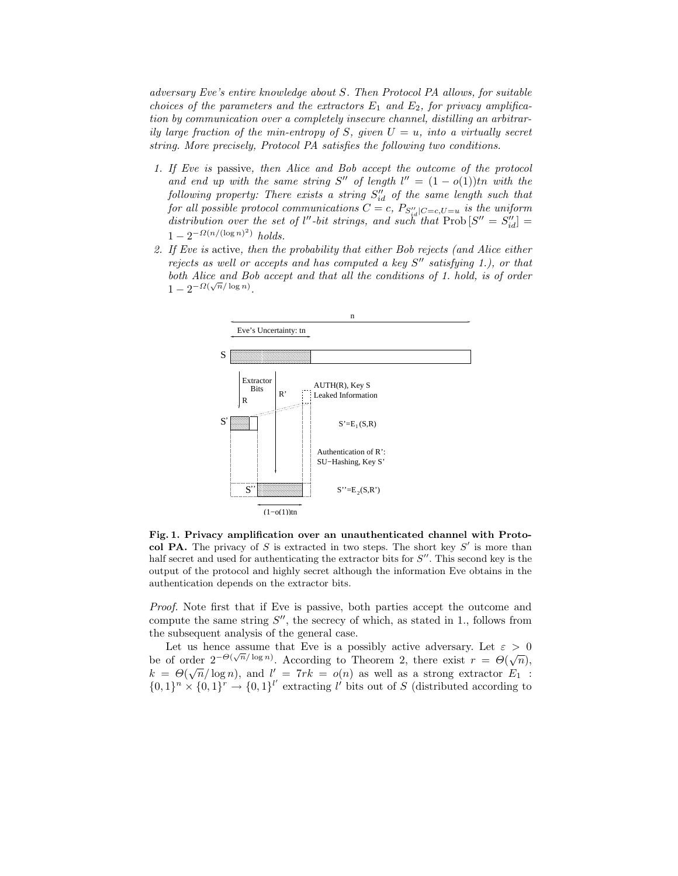adversary Eve's entire knowledge about S. Then Protocol PA allows, for suitable choices of the parameters and the extractors  $E_1$  and  $E_2$ , for privacy amplification by communication over a completely insecure channel, distilling an arbitrarily large fraction of the min-entropy of S, given  $U = u$ , into a virtually secret string. More precisely, Protocol PA satisfies the following two conditions.

- 1. If Eve is passive, then Alice and Bob accept the outcome of the protocol and end up with the same string  $S''$  of length  $l'' = (1 - o(1))$ tn with the following property: There exists a string  $S''_{id}$  of the same length such that for all possible protocol communications  $C = c$ ,  $P_{S''_{id}|C=c, U=u}$  is the uniform distribution over the set of l''-bit strings, and such that  $\text{Prob}\left[S'' = S''_{id}\right] =$  $1 - 2^{-\Omega(n/(\log n)^2)}$  holds.
- 2. If Eve is active, then the probability that either Bob rejects (and Alice either rejects as well or accepts and has computed a key  $S''$  satisfying 1.), or that both Alice and Bob accept and that all the conditions of 1. hold, is of order  $1 - 2^{-\Omega(\sqrt{n}/\log n)}$ .



Fig. 1. Privacy amplification over an unauthenticated channel with Protocol PA. The privacy of S is extracted in two steps. The short key  $S'$  is more than half secret and used for authenticating the extractor bits for  $S''$ . This second key is the output of the protocol and highly secret although the information Eve obtains in the authentication depends on the extractor bits.

Proof. Note first that if Eve is passive, both parties accept the outcome and compute the same string  $S''$ , the secrecy of which, as stated in 1., follows from the subsequent analysis of the general case.

Let us hence assume that Eve is a possibly active adversary. Let  $\varepsilon > 0$ be of order  $2^{-\Theta(\sqrt{n}/\log n)}$ . According to Theorem 2, there exist  $r = \Theta(\sqrt{n})$ ,  $k = \Theta(\sqrt{n}/\log n)$ , and  $l' = 7rk = o(n)$  as well as a strong extractor  $\overrightarrow{E_1}$ :  $\{0,1\}^n \times \{0,1\}^r \to \{0,1\}^{l'}$  extracting  $l'$  bits out of S (distributed according to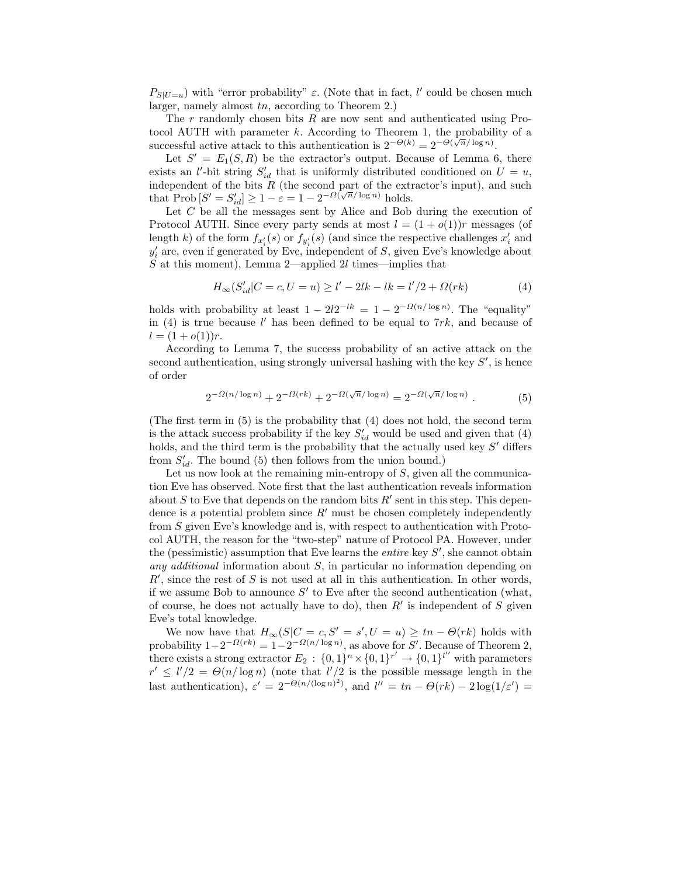$P_{S|U=u}$ ) with "error probability"  $\varepsilon$ . (Note that in fact, l' could be chosen much larger, namely almost tn, according to Theorem 2.)

The r randomly chosen bits R are now sent and authenticated using Protocol AUTH with parameter  $k$ . According to Theorem 1, the probability of a successful active attack to this authentication is  $2^{-\Theta(k)} = 2^{-\Theta(\sqrt{n}/\log n)}$ .

Let  $S' = E_1(S, R)$  be the extractor's output. Because of Lemma 6, there exists an *l*'-bit string  $S'_{id}$  that is uniformly distributed conditioned on  $U = u$ , independent of the bits  $R$  (the second part of the extractor's input), and such that  $\text{Prob}\left[S' = S'_{id}\right] \geq 1 - \varepsilon = 1 - 2^{-\Omega(\sqrt{n}/\log n)}$  holds.

Let  $C$  be all the messages sent by Alice and Bob during the execution of Protocol AUTH. Since every party sends at most  $l = (1 + o(1))r$  messages (of length k) of the form  $f_{x_i'}(s)$  or  $f_{y_i'}(s)$  (and since the respective challenges  $x_i'$  and  $y_i'$  are, even if generated by Eve, independent of S, given Eve's knowledge about S at this moment), Lemma 2—applied 2l times—implies that

$$
H_{\infty}(S'_{id}|C = c, U = u) \ge l' - 2lk - lk = l'/2 + \Omega(rk)
$$
 (4)

holds with probability at least  $1 - 2l2^{-lk} = 1 - 2^{-\Omega(n/\log n)}$ . The "equality" in (4) is true because l' has been defined to be equal to  $7rk$ , and because of  $l = (1 + o(1))r$ .

According to Lemma 7, the success probability of an active attack on the second authentication, using strongly universal hashing with the key  $S'$ , is hence of order

$$
2^{-\Omega(n/\log n)} + 2^{-\Omega(rk)} + 2^{-\Omega(\sqrt{n}/\log n)} = 2^{-\Omega(\sqrt{n}/\log n)}.
$$
 (5)

(The first term in (5) is the probability that (4) does not hold, the second term is the attack success probability if the key  $S'_{id}$  would be used and given that (4) holds, and the third term is the probability that the actually used key  $S'$  differs from  $S'_{id}$ . The bound (5) then follows from the union bound.)

Let us now look at the remaining min-entropy of  $S$ , given all the communication Eve has observed. Note first that the last authentication reveals information about S to Eve that depends on the random bits  $R'$  sent in this step. This dependence is a potential problem since  $R'$  must be chosen completely independently from S given Eve's knowledge and is, with respect to authentication with Protocol AUTH, the reason for the "two-step" nature of Protocol PA. However, under the (pessimistic) assumption that Eve learns the *entire* key  $S'$ , she cannot obtain any additional information about  $S$ , in particular no information depending on  $R'$ , since the rest of S is not used at all in this authentication. In other words, if we assume Bob to announce  $S'$  to Eve after the second authentication (what, of course, he does not actually have to do), then  $R'$  is independent of S given Eve's total knowledge.

We now have that  $H_{\infty}(S|C = c, S' = s', U = u) \geq tn - \Theta(rk)$  holds with probability  $1-2^{-\Omega(rk)}=1-2^{-\Omega(n/\log n)}$ , as above for S'. Because of Theorem 2, there exists a strong extractor  $E_2$ :  $\{0,1\}^n \times \{0,1\}^{r'} \to \{0,1\}^{l''}$  with parameters  $r' \leq l'/2 = \Theta(n/\log n)$  (note that  $l'/2$  is the possible message length in the last authentication),  $\varepsilon' = 2^{-\Theta(n/(\log n)^2)}$ , and  $l'' = tn - \Theta(rk) - 2\log(1/\varepsilon') =$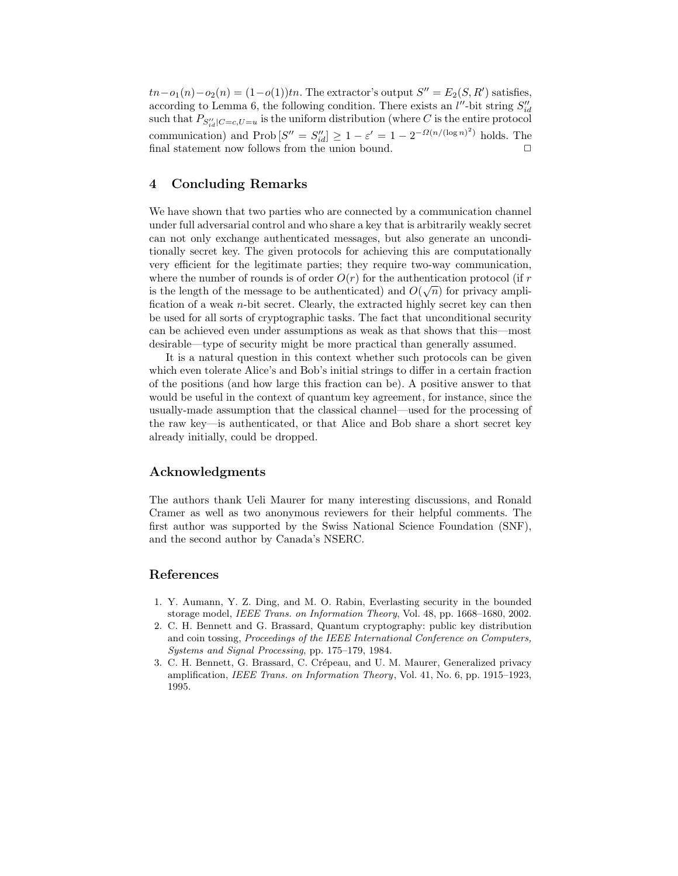$tn-o_1(n)-o_2(n) = (1-o(1))tn$ . The extractor's output  $S'' = E_2(S, R')$  satisfies, according to Lemma 6, the following condition. There exists an  $l''$ -bit string  $S''_{id}$ such that  $P_{S''_{id}|C=c,U=u}$  is the uniform distribution (where C is the entire protocol communication) and  $\text{Prob}\left[S'' = S''_{id}\right] \ge 1 - \varepsilon' = 1 - 2^{-\Omega(n/(\log n)^2)}$  holds. The final statement now follows from the union bound.

# 4 Concluding Remarks

We have shown that two parties who are connected by a communication channel under full adversarial control and who share a key that is arbitrarily weakly secret can not only exchange authenticated messages, but also generate an unconditionally secret key. The given protocols for achieving this are computationally very efficient for the legitimate parties; they require two-way communication, where the number of rounds is of order  $O(r)$  for the authentication protocol (if r is the length of the message to be authenticated) and  $O(\sqrt{n})$  for privacy amplification of a weak n-bit secret. Clearly, the extracted highly secret key can then be used for all sorts of cryptographic tasks. The fact that unconditional security can be achieved even under assumptions as weak as that shows that this—most desirable—type of security might be more practical than generally assumed.

It is a natural question in this context whether such protocols can be given which even tolerate Alice's and Bob's initial strings to differ in a certain fraction of the positions (and how large this fraction can be). A positive answer to that would be useful in the context of quantum key agreement, for instance, since the usually-made assumption that the classical channel—used for the processing of the raw key—is authenticated, or that Alice and Bob share a short secret key already initially, could be dropped.

#### Acknowledgments

The authors thank Ueli Maurer for many interesting discussions, and Ronald Cramer as well as two anonymous reviewers for their helpful comments. The first author was supported by the Swiss National Science Foundation (SNF), and the second author by Canada's NSERC.

# References

- 1. Y. Aumann, Y. Z. Ding, and M. O. Rabin, Everlasting security in the bounded storage model, IEEE Trans. on Information Theory, Vol. 48, pp. 1668–1680, 2002.
- 2. C. H. Bennett and G. Brassard, Quantum cryptography: public key distribution and coin tossing, Proceedings of the IEEE International Conference on Computers, Systems and Signal Processing, pp. 175–179, 1984.
- 3. C. H. Bennett, G. Brassard, C. Crépeau, and U. M. Maurer, Generalized privacy amplification, IEEE Trans. on Information Theory, Vol. 41, No. 6, pp. 1915–1923, 1995.